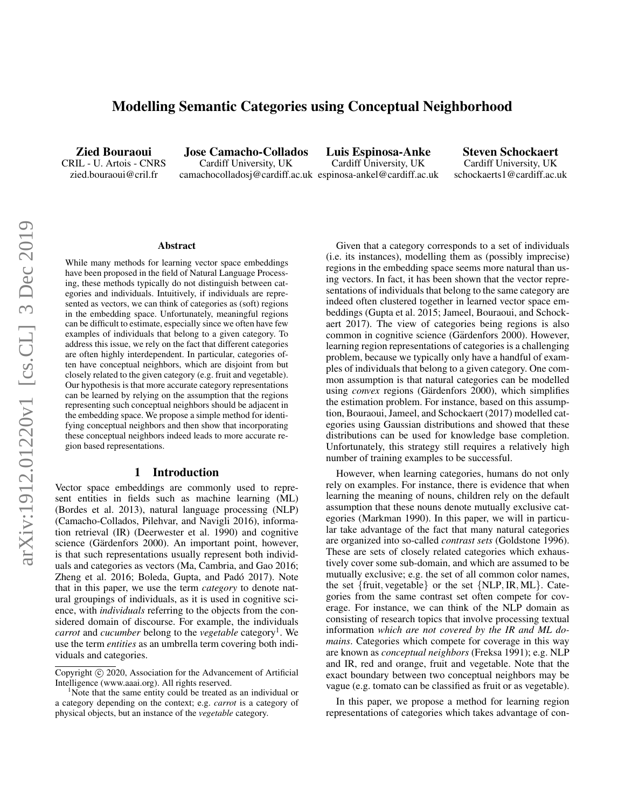# Modelling Semantic Categories using Conceptual Neighborhood

Zied Bouraoui CRIL - U. Artois - CNRS zied.bouraoui@cril.fr

Jose Camacho-Collados Cardiff University, UK camachocolladosj@cardiff.ac.uk espinosa-ankel@cardiff.ac.uk

Luis Espinosa-Anke Cardiff University, UK

Steven Schockaert Cardiff University, UK schockaerts1@cardiff.ac.uk

#### Abstract

While many methods for learning vector space embeddings have been proposed in the field of Natural Language Processing, these methods typically do not distinguish between categories and individuals. Intuitively, if individuals are represented as vectors, we can think of categories as (soft) regions in the embedding space. Unfortunately, meaningful regions can be difficult to estimate, especially since we often have few examples of individuals that belong to a given category. To address this issue, we rely on the fact that different categories are often highly interdependent. In particular, categories often have conceptual neighbors, which are disjoint from but closely related to the given category (e.g. fruit and vegetable). Our hypothesis is that more accurate category representations can be learned by relying on the assumption that the regions representing such conceptual neighbors should be adjacent in the embedding space. We propose a simple method for identifying conceptual neighbors and then show that incorporating these conceptual neighbors indeed leads to more accurate region based representations.

#### 1 Introduction

Vector space embeddings are commonly used to represent entities in fields such as machine learning (ML) (Bordes et al. 2013), natural language processing (NLP) (Camacho-Collados, Pilehvar, and Navigli 2016), information retrieval (IR) (Deerwester et al. 1990) and cognitive science (Gärdenfors 2000). An important point, however, is that such representations usually represent both individuals and categories as vectors (Ma, Cambria, and Gao 2016; Zheng et al. 2016; Boleda, Gupta, and Padó 2017). Note that in this paper, we use the term *category* to denote natural groupings of individuals, as it is used in cognitive science, with *individuals* referring to the objects from the considered domain of discourse. For example, the individuals *carrot* and *cucumber* belong to the *vegetable* category<sup>1</sup>. We use the term *entities* as an umbrella term covering both individuals and categories.

Given that a category corresponds to a set of individuals (i.e. its instances), modelling them as (possibly imprecise) regions in the embedding space seems more natural than using vectors. In fact, it has been shown that the vector representations of individuals that belong to the same category are indeed often clustered together in learned vector space embeddings (Gupta et al. 2015; Jameel, Bouraoui, and Schockaert 2017). The view of categories being regions is also common in cognitive science (Gärdenfors 2000). However, learning region representations of categories is a challenging problem, because we typically only have a handful of examples of individuals that belong to a given category. One common assumption is that natural categories can be modelled using *convex* regions (Gärdenfors 2000), which simplifies the estimation problem. For instance, based on this assumption, Bouraoui, Jameel, and Schockaert (2017) modelled categories using Gaussian distributions and showed that these distributions can be used for knowledge base completion. Unfortunately, this strategy still requires a relatively high number of training examples to be successful.

However, when learning categories, humans do not only rely on examples. For instance, there is evidence that when learning the meaning of nouns, children rely on the default assumption that these nouns denote mutually exclusive categories (Markman 1990). In this paper, we will in particular take advantage of the fact that many natural categories are organized into so-called *contrast sets* (Goldstone 1996). These are sets of closely related categories which exhaustively cover some sub-domain, and which are assumed to be mutually exclusive; e.g. the set of all common color names, the set {fruit, vegetable} or the set {NLP, IR, ML}. Categories from the same contrast set often compete for coverage. For instance, we can think of the NLP domain as consisting of research topics that involve processing textual information *which are not covered by the IR and ML domains*. Categories which compete for coverage in this way are known as *conceptual neighbors* (Freksa 1991); e.g. NLP and IR, red and orange, fruit and vegetable. Note that the exact boundary between two conceptual neighbors may be vague (e.g. tomato can be classified as fruit or as vegetable).

In this paper, we propose a method for learning region representations of categories which takes advantage of con-

Copyright (c) 2020, Association for the Advancement of Artificial Intelligence (www.aaai.org). All rights reserved.

 $1$ Note that the same entity could be treated as an individual or a category depending on the context; e.g. *carrot* is a category of physical objects, but an instance of the *vegetable* category.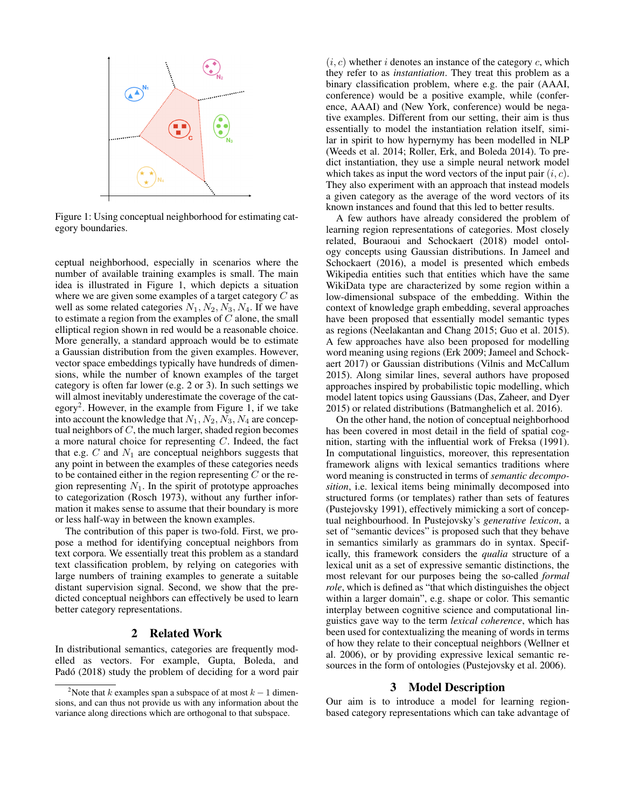

Figure 1: Using conceptual neighborhood for estimating category boundaries.

ceptual neighborhood, especially in scenarios where the number of available training examples is small. The main idea is illustrated in Figure 1, which depicts a situation where we are given some examples of a target category C as well as some related categories  $N_1, N_2, N_3, N_4$ . If we have to estimate a region from the examples of  $C$  alone, the small elliptical region shown in red would be a reasonable choice. More generally, a standard approach would be to estimate a Gaussian distribution from the given examples. However, vector space embeddings typically have hundreds of dimensions, while the number of known examples of the target category is often far lower (e.g. 2 or 3). In such settings we will almost inevitably underestimate the coverage of the category<sup>2</sup>. However, in the example from Figure 1, if we take into account the knowledge that  $N_1, N_2, N_3, N_4$  are conceptual neighbors of  $C$ , the much larger, shaded region becomes a more natural choice for representing C. Indeed, the fact that e.g.  $C$  and  $N_1$  are conceptual neighbors suggests that any point in between the examples of these categories needs to be contained either in the region representing  $C$  or the region representing  $N_1$ . In the spirit of prototype approaches to categorization (Rosch 1973), without any further information it makes sense to assume that their boundary is more or less half-way in between the known examples.

The contribution of this paper is two-fold. First, we propose a method for identifying conceptual neighbors from text corpora. We essentially treat this problem as a standard text classification problem, by relying on categories with large numbers of training examples to generate a suitable distant supervision signal. Second, we show that the predicted conceptual neighbors can effectively be used to learn better category representations.

## 2 Related Work

In distributional semantics, categories are frequently modelled as vectors. For example, Gupta, Boleda, and Padó (2018) study the problem of deciding for a word pair

 $(i, c)$  whether i denotes an instance of the category c, which they refer to as *instantiation*. They treat this problem as a binary classification problem, where e.g. the pair (AAAI, conference) would be a positive example, while (conference, AAAI) and (New York, conference) would be negative examples. Different from our setting, their aim is thus essentially to model the instantiation relation itself, similar in spirit to how hypernymy has been modelled in NLP (Weeds et al. 2014; Roller, Erk, and Boleda 2014). To predict instantiation, they use a simple neural network model which takes as input the word vectors of the input pair  $(i, c)$ . They also experiment with an approach that instead models a given category as the average of the word vectors of its known instances and found that this led to better results.

A few authors have already considered the problem of learning region representations of categories. Most closely related, Bouraoui and Schockaert (2018) model ontology concepts using Gaussian distributions. In Jameel and Schockaert (2016), a model is presented which embeds Wikipedia entities such that entities which have the same WikiData type are characterized by some region within a low-dimensional subspace of the embedding. Within the context of knowledge graph embedding, several approaches have been proposed that essentially model semantic types as regions (Neelakantan and Chang 2015; Guo et al. 2015). A few approaches have also been proposed for modelling word meaning using regions (Erk 2009; Jameel and Schockaert 2017) or Gaussian distributions (Vilnis and McCallum 2015). Along similar lines, several authors have proposed approaches inspired by probabilistic topic modelling, which model latent topics using Gaussians (Das, Zaheer, and Dyer 2015) or related distributions (Batmanghelich et al. 2016).

On the other hand, the notion of conceptual neighborhood has been covered in most detail in the field of spatial cognition, starting with the influential work of Freksa (1991). In computational linguistics, moreover, this representation framework aligns with lexical semantics traditions where word meaning is constructed in terms of *semantic decomposition*, i.e. lexical items being minimally decomposed into structured forms (or templates) rather than sets of features (Pustejovsky 1991), effectively mimicking a sort of conceptual neighbourhood. In Pustejovsky's *generative lexicon*, a set of "semantic devices" is proposed such that they behave in semantics similarly as grammars do in syntax. Specifically, this framework considers the *qualia* structure of a lexical unit as a set of expressive semantic distinctions, the most relevant for our purposes being the so-called *formal role*, which is defined as "that which distinguishes the object within a larger domain", e.g. shape or color. This semantic interplay between cognitive science and computational linguistics gave way to the term *lexical coherence*, which has been used for contextualizing the meaning of words in terms of how they relate to their conceptual neighbors (Wellner et al. 2006), or by providing expressive lexical semantic resources in the form of ontologies (Pustejovsky et al. 2006).

#### 3 Model Description

Our aim is to introduce a model for learning regionbased category representations which can take advantage of

<sup>&</sup>lt;sup>2</sup>Note that k examples span a subspace of at most  $k - 1$  dimensions, and can thus not provide us with any information about the variance along directions which are orthogonal to that subspace.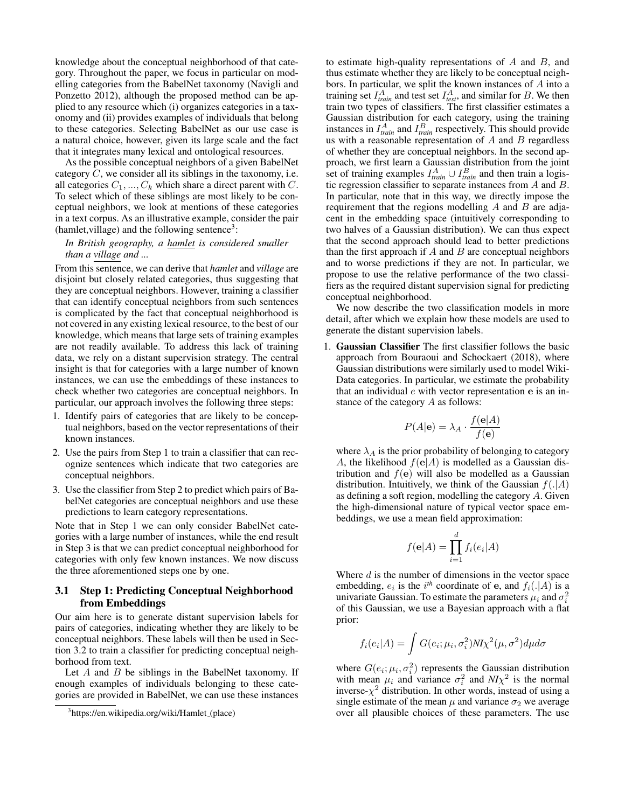knowledge about the conceptual neighborhood of that category. Throughout the paper, we focus in particular on modelling categories from the BabelNet taxonomy (Navigli and Ponzetto 2012), although the proposed method can be applied to any resource which (i) organizes categories in a taxonomy and (ii) provides examples of individuals that belong to these categories. Selecting BabelNet as our use case is a natural choice, however, given its large scale and the fact that it integrates many lexical and ontological resources.

As the possible conceptual neighbors of a given BabelNet category  $C$ , we consider all its siblings in the taxonomy, i.e. all categories  $C_1, ..., C_k$  which share a direct parent with C. To select which of these siblings are most likely to be conceptual neighbors, we look at mentions of these categories in a text corpus. As an illustrative example, consider the pair  $(hamlet, village)$  and the following sentence<sup>3</sup>:

### *In British geography, a hamlet is considered smaller than a village and ...*

From this sentence, we can derive that *hamlet* and *village* are disjoint but closely related categories, thus suggesting that they are conceptual neighbors. However, training a classifier that can identify conceptual neighbors from such sentences is complicated by the fact that conceptual neighborhood is not covered in any existing lexical resource, to the best of our knowledge, which means that large sets of training examples are not readily available. To address this lack of training data, we rely on a distant supervision strategy. The central insight is that for categories with a large number of known instances, we can use the embeddings of these instances to check whether two categories are conceptual neighbors. In particular, our approach involves the following three steps:

- 1. Identify pairs of categories that are likely to be conceptual neighbors, based on the vector representations of their known instances.
- 2. Use the pairs from Step 1 to train a classifier that can recognize sentences which indicate that two categories are conceptual neighbors.
- 3. Use the classifier from Step 2 to predict which pairs of BabelNet categories are conceptual neighbors and use these predictions to learn category representations.

Note that in Step 1 we can only consider BabelNet categories with a large number of instances, while the end result in Step 3 is that we can predict conceptual neighborhood for categories with only few known instances. We now discuss the three aforementioned steps one by one.

### 3.1 Step 1: Predicting Conceptual Neighborhood from Embeddings

Our aim here is to generate distant supervision labels for pairs of categories, indicating whether they are likely to be conceptual neighbors. These labels will then be used in Section 3.2 to train a classifier for predicting conceptual neighborhood from text.

Let  $A$  and  $B$  be siblings in the BabelNet taxonomy. If enough examples of individuals belonging to these categories are provided in BabelNet, we can use these instances

to estimate high-quality representations of  $A$  and  $B$ , and thus estimate whether they are likely to be conceptual neighbors. In particular, we split the known instances of A into a training set  $I_{train}^A$  and test set  $I_{test}^A$ , and similar for B. We then train two types of classifiers. The first classifier estimates a Gaussian distribution for each category, using the training instances in  $I_{train}^A$  and  $I_{train}^B$  respectively. This should provide us with a reasonable representation of  $A$  and  $B$  regardless of whether they are conceptual neighbors. In the second approach, we first learn a Gaussian distribution from the joint set of training examples  $I_{train}^A \cup I_{train}^B$  and then train a logistic regression classifier to separate instances from A and B. In particular, note that in this way, we directly impose the requirement that the regions modelling  $A$  and  $B$  are adjacent in the embedding space (intuitively corresponding to two halves of a Gaussian distribution). We can thus expect that the second approach should lead to better predictions than the first approach if  $A$  and  $B$  are conceptual neighbors and to worse predictions if they are not. In particular, we propose to use the relative performance of the two classifiers as the required distant supervision signal for predicting conceptual neighborhood.

We now describe the two classification models in more detail, after which we explain how these models are used to generate the distant supervision labels.

1. Gaussian Classifier The first classifier follows the basic approach from Bouraoui and Schockaert (2018), where Gaussian distributions were similarly used to model Wiki-Data categories. In particular, we estimate the probability that an individual  $e$  with vector representation  $e$  is an instance of the category A as follows:

$$
P(A|\mathbf{e}) = \lambda_A \cdot \frac{f(\mathbf{e}|A)}{f(\mathbf{e})}
$$

where  $\lambda_A$  is the prior probability of belonging to category A, the likelihood  $f(\mathbf{e}|A)$  is modelled as a Gaussian distribution and  $f(e)$  will also be modelled as a Gaussian distribution. Intuitively, we think of the Gaussian  $f(.|A)$ as defining a soft region, modelling the category A. Given the high-dimensional nature of typical vector space embeddings, we use a mean field approximation:

$$
f(\mathbf{e}|A) = \prod_{i=1}^{d} f_i(e_i|A)
$$

Where  $d$  is the number of dimensions in the vector space embedding,  $e_i$  is the i<sup>th</sup> coordinate of e, and  $f_i(.|A)$  is a univariate Gaussian. To estimate the parameters  $\mu_i$  and  $\sigma_i^2$ of this Gaussian, we use a Bayesian approach with a flat prior:

$$
f_i(e_i|A) = \int G(e_i; \mu_i, \sigma_i^2) N I \chi^2(\mu, \sigma^2) d\mu d\sigma
$$

where  $G(e_i; \mu_i, \sigma_i^2)$  represents the Gaussian distribution with mean  $\mu_i$  and variance  $\sigma_i^2$  and  $NI\chi^2$  is the normal inverse- $\chi^2$  distribution. In other words, instead of using a single estimate of the mean  $\mu$  and variance  $\sigma_2$  we average over all plausible choices of these parameters. The use

<sup>&</sup>lt;sup>3</sup>https://en.wikipedia.org/wiki/Hamlet\_(place)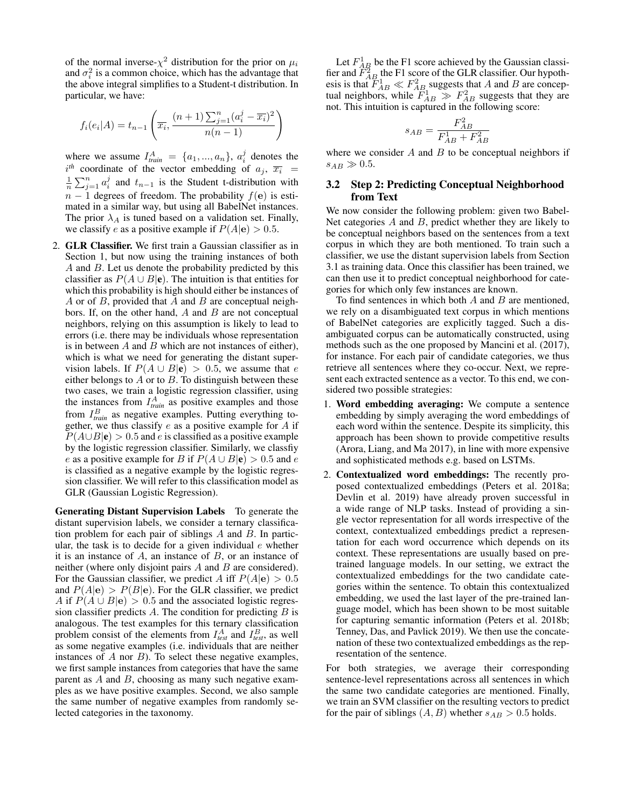of the normal inverse- $\chi^2$  distribution for the prior on  $\mu_i$ and  $\sigma_i^2$  is a common choice, which has the advantage that the above integral simplifies to a Student-t distribution. In particular, we have:

$$
f_i(e_i|A) = t_{n-1} \left( \overline{x_i}, \frac{(n+1)\sum_{j=1}^n (a_i^j - \overline{x_i})^2}{n(n-1)} \right)
$$

where we assume  $I_{train}^A = \{a_1, ..., a_n\}, a_i^j$  denotes the  $i^{th}$  coordinate of the vector embedding of  $a_j$ ,  $\overline{x_i}$  =  $\frac{1}{n}\sum_{j=1}^{n} a_i^j$  and  $t_{n-1}$  is the Student t-distribution with  $n-1$  degrees of freedom. The probability  $f(e)$  is estimated in a similar way, but using all BabelNet instances. The prior  $\lambda_A$  is tuned based on a validation set. Finally, we classify e as a positive example if  $P(A|e) > 0.5$ .

2. GLR Classifier. We first train a Gaussian classifier as in Section 1, but now using the training instances of both A and B. Let us denote the probability predicted by this classifier as  $P(A \cup B|\mathbf{e})$ . The intuition is that entities for which this probability is high should either be instances of A or of  $B$ , provided that  $A$  and  $B$  are conceptual neighbors. If, on the other hand,  $A$  and  $B$  are not conceptual neighbors, relying on this assumption is likely to lead to errors (i.e. there may be individuals whose representation is in between  $A$  and  $B$  which are not instances of either), which is what we need for generating the distant supervision labels. If  $P(A \cup B|\mathbf{e}) > 0.5$ , we assume that e either belongs to  $A$  or to  $B$ . To distinguish between these two cases, we train a logistic regression classifier, using the instances from  $I_{train}^A$  as positive examples and those from  $I_{train}^B$  as negative examples. Putting everything together, we thus classify  $e$  as a positive example for  $A$  if  $P(A \cup B|\mathbf{e}) > 0.5$  and *e* is classified as a positive example by the logistic regression classifier. Similarly, we classfiy e as a positive example for B if  $P(A \cup B | e) > 0.5$  and e is classified as a negative example by the logistic regression classifier. We will refer to this classification model as GLR (Gaussian Logistic Regression).

Generating Distant Supervision Labels To generate the distant supervision labels, we consider a ternary classification problem for each pair of siblings  $A$  and  $B$ . In particular, the task is to decide for a given individual  $e$  whether it is an instance of  $A$ , an instance of  $B$ , or an instance of neither (where only disjoint pairs A and B are considered). For the Gaussian classifier, we predict A iff  $P(A|e) > 0.5$ and  $P(A|\mathbf{e}) > P(B|\mathbf{e})$ . For the GLR classifier, we predict A if  $P(A \cup B|e) > 0.5$  and the associated logistic regression classifier predicts  $A$ . The condition for predicting  $B$  is analogous. The test examples for this ternary classification problem consist of the elements from  $I_{test}^A$  and  $I_{test}^B$ , as well as some negative examples (i.e. individuals that are neither instances of  $A$  nor  $B$ ). To select these negative examples, we first sample instances from categories that have the same parent as  $A$  and  $B$ , choosing as many such negative examples as we have positive examples. Second, we also sample the same number of negative examples from randomly selected categories in the taxonomy.

Let  $F_{AB}^1$  be the F1 score achieved by the Gaussian classifier and  $\ddot{F}_{AB}^2$  the F1 score of the GLR classifier. Our hypothesis is that  $F_{AB}^1 \ll F_{AB}^2$  suggests that A and B are conceptual neighbors, while  $\widetilde{F}_{AB}^1 \gg F_{AB}^2$  suggests that they are not. This intuition is captured in the following score:

$$
s_{AB}=\frac{F_{AB}^2}{F_{AB}^1+F_{AB}^2}
$$

where we consider  $A$  and  $B$  to be conceptual neighbors if  $s_{AB} \gg 0.5$ .

## 3.2 Step 2: Predicting Conceptual Neighborhood from Text

We now consider the following problem: given two Babel-Net categories  $A$  and  $B$ , predict whether they are likely to be conceptual neighbors based on the sentences from a text corpus in which they are both mentioned. To train such a classifier, we use the distant supervision labels from Section 3.1 as training data. Once this classifier has been trained, we can then use it to predict conceptual neighborhood for categories for which only few instances are known.

To find sentences in which both  $A$  and  $B$  are mentioned, we rely on a disambiguated text corpus in which mentions of BabelNet categories are explicitly tagged. Such a disambiguated corpus can be automatically constructed, using methods such as the one proposed by Mancini et al. (2017), for instance. For each pair of candidate categories, we thus retrieve all sentences where they co-occur. Next, we represent each extracted sentence as a vector. To this end, we considered two possible strategies:

- 1. Word embedding averaging: We compute a sentence embedding by simply averaging the word embeddings of each word within the sentence. Despite its simplicity, this approach has been shown to provide competitive results (Arora, Liang, and Ma 2017), in line with more expensive and sophisticated methods e.g. based on LSTMs.
- 2. Contextualized word embeddings: The recently proposed contextualized embeddings (Peters et al. 2018a; Devlin et al. 2019) have already proven successful in a wide range of NLP tasks. Instead of providing a single vector representation for all words irrespective of the context, contextualized embeddings predict a representation for each word occurrence which depends on its context. These representations are usually based on pretrained language models. In our setting, we extract the contextualized embeddings for the two candidate categories within the sentence. To obtain this contextualized embedding, we used the last layer of the pre-trained language model, which has been shown to be most suitable for capturing semantic information (Peters et al. 2018b; Tenney, Das, and Pavlick 2019). We then use the concatenation of these two contextualized embeddings as the representation of the sentence.

For both strategies, we average their corresponding sentence-level representations across all sentences in which the same two candidate categories are mentioned. Finally, we train an SVM classifier on the resulting vectors to predict for the pair of siblings  $(A, B)$  whether  $s_{AB} > 0.5$  holds.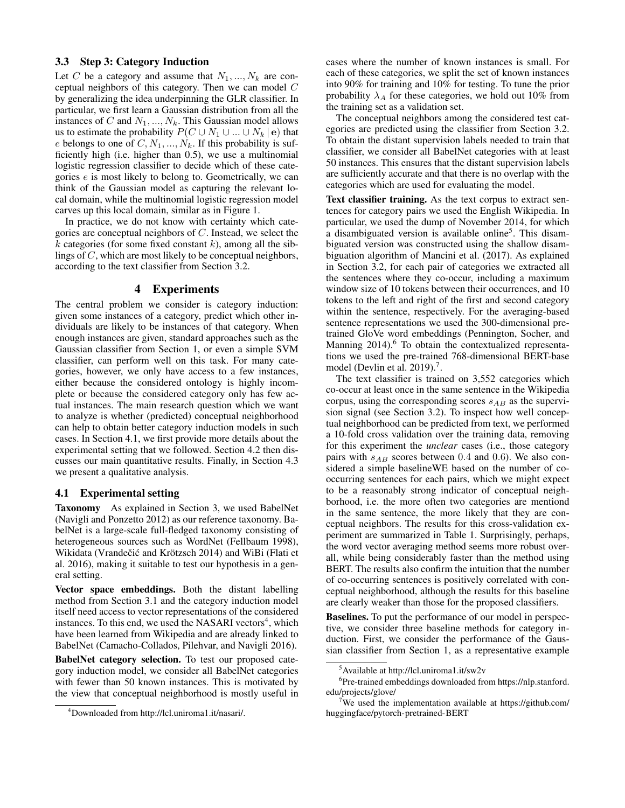## 3.3 Step 3: Category Induction

Let C be a category and assume that  $N_1, ..., N_k$  are conceptual neighbors of this category. Then we can model C by generalizing the idea underpinning the GLR classifier. In particular, we first learn a Gaussian distribution from all the instances of C and  $N_1, ..., N_k$ . This Gaussian model allows us to estimate the probability  $P(C \cup N_1 \cup ... \cup N_k \mid e)$  that e belongs to one of  $C, N_1, ..., N_k$ . If this probability is sufficiently high (i.e. higher than 0.5), we use a multinomial logistic regression classifier to decide which of these categories e is most likely to belong to. Geometrically, we can think of the Gaussian model as capturing the relevant local domain, while the multinomial logistic regression model carves up this local domain, similar as in Figure 1.

In practice, we do not know with certainty which categories are conceptual neighbors of C. Instead, we select the k categories (for some fixed constant k), among all the siblings of C, which are most likely to be conceptual neighbors, according to the text classifier from Section 3.2.

# 4 Experiments

The central problem we consider is category induction: given some instances of a category, predict which other individuals are likely to be instances of that category. When enough instances are given, standard approaches such as the Gaussian classifier from Section 1, or even a simple SVM classifier, can perform well on this task. For many categories, however, we only have access to a few instances, either because the considered ontology is highly incomplete or because the considered category only has few actual instances. The main research question which we want to analyze is whether (predicted) conceptual neighborhood can help to obtain better category induction models in such cases. In Section 4.1, we first provide more details about the experimental setting that we followed. Section 4.2 then discusses our main quantitative results. Finally, in Section 4.3 we present a qualitative analysis.

## 4.1 Experimental setting

Taxonomy As explained in Section 3, we used BabelNet (Navigli and Ponzetto 2012) as our reference taxonomy. BabelNet is a large-scale full-fledged taxonomy consisting of heterogeneous sources such as WordNet (Fellbaum 1998), Wikidata (Vrandečić and Krötzsch 2014) and WiBi (Flati et al. 2016), making it suitable to test our hypothesis in a general setting.

Vector space embeddings. Both the distant labelling method from Section 3.1 and the category induction model itself need access to vector representations of the considered instances. To this end, we used the NASARI vectors<sup>4</sup>, which have been learned from Wikipedia and are already linked to BabelNet (Camacho-Collados, Pilehvar, and Navigli 2016).

BabelNet category selection. To test our proposed category induction model, we consider all BabelNet categories with fewer than 50 known instances. This is motivated by the view that conceptual neighborhood is mostly useful in

cases where the number of known instances is small. For each of these categories, we split the set of known instances into 90% for training and 10% for testing. To tune the prior probability  $\lambda_A$  for these categories, we hold out 10% from the training set as a validation set.

The conceptual neighbors among the considered test categories are predicted using the classifier from Section 3.2. To obtain the distant supervision labels needed to train that classifier, we consider all BabelNet categories with at least 50 instances. This ensures that the distant supervision labels are sufficiently accurate and that there is no overlap with the categories which are used for evaluating the model.

Text classifier training. As the text corpus to extract sentences for category pairs we used the English Wikipedia. In particular, we used the dump of November 2014, for which a disambiguated version is available online<sup>5</sup>. This disambiguated version was constructed using the shallow disambiguation algorithm of Mancini et al. (2017). As explained in Section 3.2, for each pair of categories we extracted all the sentences where they co-occur, including a maximum window size of 10 tokens between their occurrences, and 10 tokens to the left and right of the first and second category within the sentence, respectively. For the averaging-based sentence representations we used the 300-dimensional pretrained GloVe word embeddings (Pennington, Socher, and Manning  $2014$ <sup>6</sup>. To obtain the contextualized representations we used the pre-trained 768-dimensional BERT-base model (Devlin et al. 2019).<sup>7</sup>.

The text classifier is trained on 3,552 categories which co-occur at least once in the same sentence in the Wikipedia corpus, using the corresponding scores  $s_{AB}$  as the supervision signal (see Section 3.2). To inspect how well conceptual neighborhood can be predicted from text, we performed a 10-fold cross validation over the training data, removing for this experiment the *unclear* cases (i.e., those category pairs with  $s_{AB}$  scores between 0.4 and 0.6). We also considered a simple baselineWE based on the number of cooccurring sentences for each pairs, which we might expect to be a reasonably strong indicator of conceptual neighborhood, i.e. the more often two categories are mentiond in the same sentence, the more likely that they are conceptual neighbors. The results for this cross-validation experiment are summarized in Table 1. Surprisingly, perhaps, the word vector averaging method seems more robust overall, while being considerably faster than the method using BERT. The results also confirm the intuition that the number of co-occurring sentences is positively correlated with conceptual neighborhood, although the results for this baseline are clearly weaker than those for the proposed classifiers.

Baselines. To put the performance of our model in perspective, we consider three baseline methods for category induction. First, we consider the performance of the Gaussian classifier from Section 1, as a representative example

<sup>4</sup>Downloaded from http://lcl.uniroma1.it/nasari/.

<sup>5</sup>Available at http://lcl.uniroma1.it/sw2v

<sup>&</sup>lt;sup>6</sup>Pre-trained embeddings downloaded from https://nlp.stanford. edu/projects/glove/

<sup>&</sup>lt;sup>7</sup>We used the implementation available at https://github.com/ huggingface/pytorch-pretrained-BERT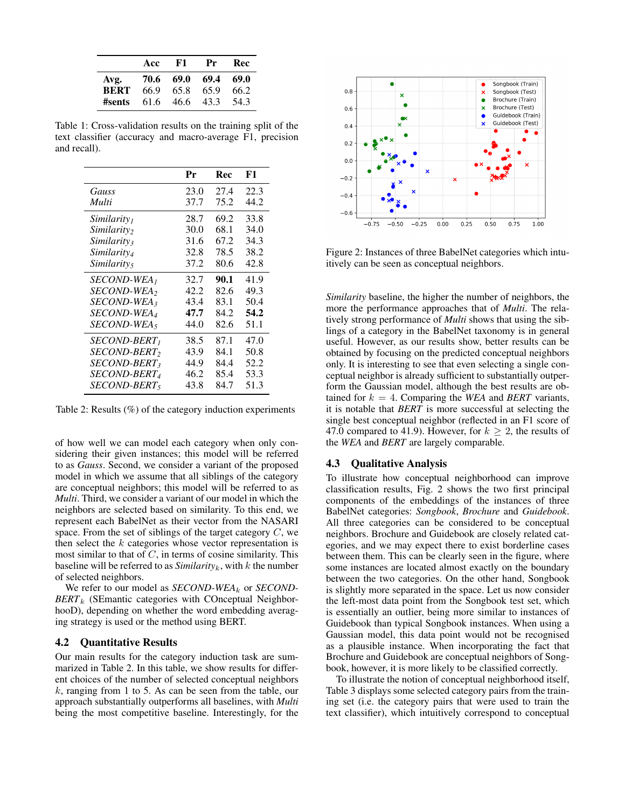|                     | Acc          | F1           | Pr           | Rec          |
|---------------------|--------------|--------------|--------------|--------------|
| Avg.<br><b>BERT</b> | 70.6<br>66.9 | 69.0<br>65.8 | 69.4<br>65.9 | 69.0<br>66.2 |
| #sents              | 61.6         | 46.6         | 43.3         | 54.3         |

Table 1: Cross-validation results on the training split of the text classifier (accuracy and macro-average F1, precision and recall).

|                                | Pr   | Rec  | F1   |
|--------------------------------|------|------|------|
| Gauss                          | 23.0 | 27.4 | 22.3 |
| Multi                          | 37.7 | 75.2 | 44.2 |
| Similarity <sub>1</sub>        | 28.7 | 69.2 | 33.8 |
| <i>Similarity</i> <sub>2</sub> | 30.0 | 68.1 | 34.0 |
| <i>Similarity</i>              | 31.6 | 67.2 | 34.3 |
| Similarity <sub>4</sub>        | 32.8 | 78.5 | 38.2 |
| Similarity,                    | 37.2 | 80.6 | 42.8 |
| <i>SECOND-WEA</i>              | 32.7 | 90.1 | 41.9 |
| <i>SECOND-WEA</i> <sub>2</sub> | 42.2 | 82.6 | 49.3 |
| <i>SECOND-WEA</i> 3            | 43.4 | 83.1 | 50.4 |
| <i>SECOND-WEA</i> <sub>4</sub> | 47.7 | 84.2 | 54.2 |
| SECOND-WEA5                    | 44.0 | 82.6 | 51.1 |
| <i>SECOND-BERT<sub>1</sub></i> | 38.5 | 87.1 | 47.0 |
| <i>SECOND-BERT</i>             | 43.9 | 84.1 | 50.8 |
| <i>SECOND-BERT</i> 3           | 44.9 | 84.4 | 52.2 |
| <i>SECOND-BERT4</i>            | 46.2 | 85.4 | 53.3 |
| <i>SECOND-BERT</i> 5           | 43.8 | 84.7 | 51.3 |

Table 2: Results (%) of the category induction experiments

of how well we can model each category when only considering their given instances; this model will be referred to as *Gauss*. Second, we consider a variant of the proposed model in which we assume that all siblings of the category are conceptual neighbors; this model will be referred to as *Multi*. Third, we consider a variant of our model in which the neighbors are selected based on similarity. To this end, we represent each BabelNet as their vector from the NASARI space. From the set of siblings of the target category  $C$ , we then select the  $k$  categories whose vector representation is most similar to that of  $C$ , in terms of cosine similarity. This baseline will be referred to as  $Similarity<sub>k</sub>$ , with k the number of selected neighbors.

We refer to our model as *SECOND-WEA*<sub>k</sub> or *SECOND-BERT*<sup>k</sup> (SEmantic categories with COnceptual NeighborhooD), depending on whether the word embedding averaging strategy is used or the method using BERT.

#### 4.2 Quantitative Results

Our main results for the category induction task are summarized in Table 2. In this table, we show results for different choices of the number of selected conceptual neighbors  $k$ , ranging from 1 to 5. As can be seen from the table, our approach substantially outperforms all baselines, with *Multi* being the most competitive baseline. Interestingly, for the



Figure 2: Instances of three BabelNet categories which intuitively can be seen as conceptual neighbors.

*Similarity* baseline, the higher the number of neighbors, the more the performance approaches that of *Multi*. The relatively strong performance of *Multi* shows that using the siblings of a category in the BabelNet taxonomy is in general useful. However, as our results show, better results can be obtained by focusing on the predicted conceptual neighbors only. It is interesting to see that even selecting a single conceptual neighbor is already sufficient to substantially outperform the Gaussian model, although the best results are obtained for  $k = 4$ . Comparing the *WEA* and *BERT* variants, it is notable that *BERT* is more successful at selecting the single best conceptual neighbor (reflected in an F1 score of 47.0 compared to 41.9). However, for  $k \geq 2$ , the results of the *WEA* and *BERT* are largely comparable.

#### 4.3 Qualitative Analysis

To illustrate how conceptual neighborhood can improve classification results, Fig. 2 shows the two first principal components of the embeddings of the instances of three BabelNet categories: *Songbook*, *Brochure* and *Guidebook*. All three categories can be considered to be conceptual neighbors. Brochure and Guidebook are closely related categories, and we may expect there to exist borderline cases between them. This can be clearly seen in the figure, where some instances are located almost exactly on the boundary between the two categories. On the other hand, Songbook is slightly more separated in the space. Let us now consider the left-most data point from the Songbook test set, which is essentially an outlier, being more similar to instances of Guidebook than typical Songbook instances. When using a Gaussian model, this data point would not be recognised as a plausible instance. When incorporating the fact that Brochure and Guidebook are conceptual neighbors of Songbook, however, it is more likely to be classified correctly.

To illustrate the notion of conceptual neighborhood itself, Table 3 displays some selected category pairs from the training set (i.e. the category pairs that were used to train the text classifier), which intuitively correspond to conceptual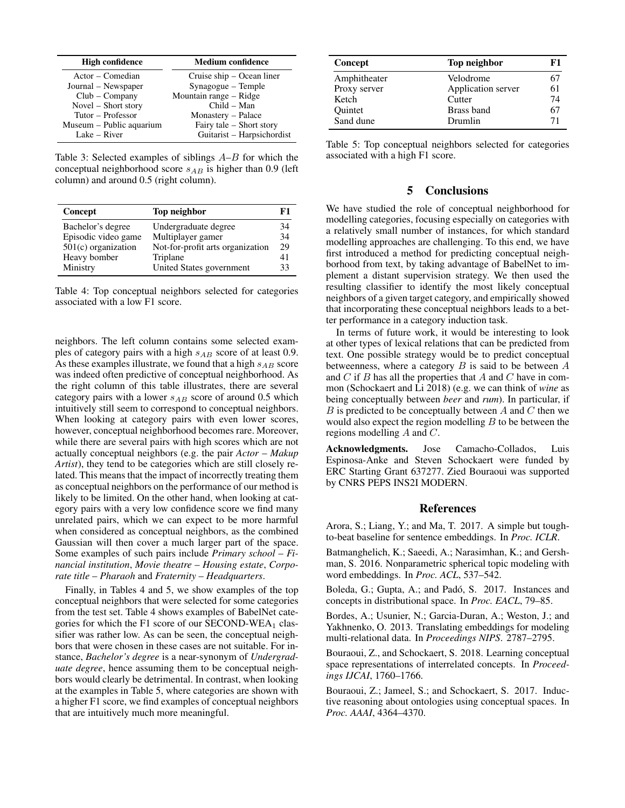| <b>High confidence</b>   | <b>Medium confidence</b>   |  |
|--------------------------|----------------------------|--|
| Actor – Comedian         | Cruise ship – Ocean liner  |  |
| Journal – Newspaper      | Synagogue – Temple         |  |
| $Club - Company$         | Mountain range – Ridge     |  |
| Novel – Short story      | $Child - Man$              |  |
| Tutor – Professor        | Monastery - Palace         |  |
| Museum - Public aquarium | Fairy tale – Short story   |  |
| Lake $-$ River           | Guitarist - Harpsichordist |  |

Table 3: Selected examples of siblings  $A-B$  for which the conceptual neighborhood score  $s_{AB}$  is higher than 0.9 (left column) and around 0.5 (right column).

| Concept               | Top neighbor                     | F1 |
|-----------------------|----------------------------------|----|
| Bachelor's degree     | Undergraduate degree             | 34 |
| Episodic video game   | Multiplayer gamer                | 34 |
| $501(c)$ organization | Not-for-profit arts organization | 29 |
| Heavy bomber          | Triplane                         | 41 |
| Ministry              | United States government         | 33 |

Table 4: Top conceptual neighbors selected for categories associated with a low F1 score.

neighbors. The left column contains some selected examples of category pairs with a high  $s_{AB}$  score of at least 0.9. As these examples illustrate, we found that a high  $s_{AB}$  score was indeed often predictive of conceptual neighborhood. As the right column of this table illustrates, there are several category pairs with a lower  $s_{AB}$  score of around 0.5 which intuitively still seem to correspond to conceptual neighbors. When looking at category pairs with even lower scores, however, conceptual neighborhood becomes rare. Moreover, while there are several pairs with high scores which are not actually conceptual neighbors (e.g. the pair *Actor* – *Makup Artist*), they tend to be categories which are still closely related. This means that the impact of incorrectly treating them as conceptual neighbors on the performance of our method is likely to be limited. On the other hand, when looking at category pairs with a very low confidence score we find many unrelated pairs, which we can expect to be more harmful when considered as conceptual neighbors, as the combined Gaussian will then cover a much larger part of the space. Some examples of such pairs include *Primary school* – *Financial institution*, *Movie theatre* – *Housing estate*, *Corporate title* – *Pharaoh* and *Fraternity* – *Headquarters*.

Finally, in Tables 4 and 5, we show examples of the top conceptual neighbors that were selected for some categories from the test set. Table 4 shows examples of BabelNet categories for which the F1 score of our SECOND-WEA<sub>1</sub> classifier was rather low. As can be seen, the conceptual neighbors that were chosen in these cases are not suitable. For instance, *Bachelor's degree* is a near-synonym of *Undergraduate degree*, hence assuming them to be conceptual neighbors would clearly be detrimental. In contrast, when looking at the examples in Table 5, where categories are shown with a higher F1 score, we find examples of conceptual neighbors that are intuitively much more meaningful.

| Concept        | Top neighbor       | F1 |
|----------------|--------------------|----|
| Amphitheater   | Velodrome          | 67 |
| Proxy server   | Application server | 61 |
| Ketch          | Cutter             | 74 |
| <b>Ouintet</b> | Brass band         | 67 |
| Sand dune      | Drumlin            | 71 |

Table 5: Top conceptual neighbors selected for categories associated with a high F1 score.

# 5 Conclusions

We have studied the role of conceptual neighborhood for modelling categories, focusing especially on categories with a relatively small number of instances, for which standard modelling approaches are challenging. To this end, we have first introduced a method for predicting conceptual neighborhood from text, by taking advantage of BabelNet to implement a distant supervision strategy. We then used the resulting classifier to identify the most likely conceptual neighbors of a given target category, and empirically showed that incorporating these conceptual neighbors leads to a better performance in a category induction task.

In terms of future work, it would be interesting to look at other types of lexical relations that can be predicted from text. One possible strategy would be to predict conceptual betweenness, where a category  $B$  is said to be between  $A$ and  $C$  if  $B$  has all the properties that  $A$  and  $C$  have in common (Schockaert and Li 2018) (e.g. we can think of *wine* as being conceptually between *beer* and *rum*). In particular, if B is predicted to be conceptually between A and C then we would also expect the region modelling  $B$  to be between the regions modelling  $A$  and  $C$ .

Acknowledgments. Jose Camacho-Collados, Luis Espinosa-Anke and Steven Schockaert were funded by ERC Starting Grant 637277. Zied Bouraoui was supported by CNRS PEPS INS2I MODERN.

#### References

Arora, S.; Liang, Y.; and Ma, T. 2017. A simple but toughto-beat baseline for sentence embeddings. In *Proc. ICLR*.

Batmanghelich, K.; Saeedi, A.; Narasimhan, K.; and Gershman, S. 2016. Nonparametric spherical topic modeling with word embeddings. In *Proc. ACL*, 537–542.

Boleda, G.; Gupta, A.; and Padó, S. 2017. Instances and concepts in distributional space. In *Proc. EACL*, 79–85.

Bordes, A.; Usunier, N.; Garcia-Duran, A.; Weston, J.; and Yakhnenko, O. 2013. Translating embeddings for modeling multi-relational data. In *Proceedings NIPS*. 2787–2795.

Bouraoui, Z., and Schockaert, S. 2018. Learning conceptual space representations of interrelated concepts. In *Proceedings IJCAI*, 1760–1766.

Bouraoui, Z.; Jameel, S.; and Schockaert, S. 2017. Inductive reasoning about ontologies using conceptual spaces. In *Proc. AAAI*, 4364–4370.